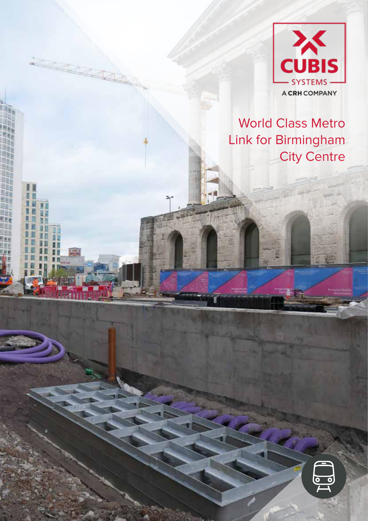

## World Class Metro Link for Birmingham City Centre

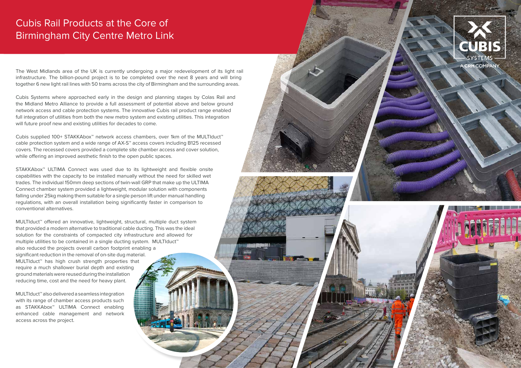The West Midlands area of the UK is currently undergoing a major redevelopment of its light rail infrastructure. The billion-pound project is to be completed over the next 8 years and will bring together 6 new light rail lines with 50 trams across the city of Birmingham and the surrounding areas.

Cubis Systems where approached early in the design and planning stages by Colas Rail and the Midland Metro Alliance to provide a full assessment of potential above and below ground network access and cable protection systems. The innovative Cubis rail product range enabled full integration of utilities from both the new metro system and existing utilities. This integration will future proof new and existing utilities for decades to come.

Cubis supplied 100+ STAKKAbox™ network access chambers, over 1km of the MULTIduct™ cable protection system and a wide range of AX-S™ access covers including B125 recessed covers. The recessed covers provided a complete site chamber access and cover solution, while offering an improved aesthetic finish to the open public spaces.

STAKKAbox™ ULTIMA Connect was used due to its lightweight and flexible onsite capabilities with the capacity to be installed manually without the need for skilled wet trades. The individual 150mm deep sections of twin-wall GRP that make up the ULTIMA Connect chamber system provided a lightweight, modular solution with components falling under 25kg making them suitable for a single person lift under manual handling regulations, with an overall installation being significantly faster in comparison to conventional alternatives.

MULTIduct™ offered an innovative, lightweight, structural, multiple duct system that provided a modern alternative to traditional cable ducting. This was the ideal solution for the constraints of compacted city infrastructure and allowed for multiple utilities to be contained in a single ducting system. MULTIduct™ also reduced the projects overall carbon footprint enabling a significant reduction in the removal of on-site dug material. MULTIduct™ has high crush strength properties that require a much shallower burial depth and existing ground materials were reused during the installation reducing time, cost and the need for heavy plant.

MULTIduct™ also delivered a seamless integration with its range of chamber access products such as STAKKAbox™ ULTIMA Connect enabling enhanced cable management and network access across the project.





## Cubis Rail Products at the Core of Birmingham City Centre Metro Link